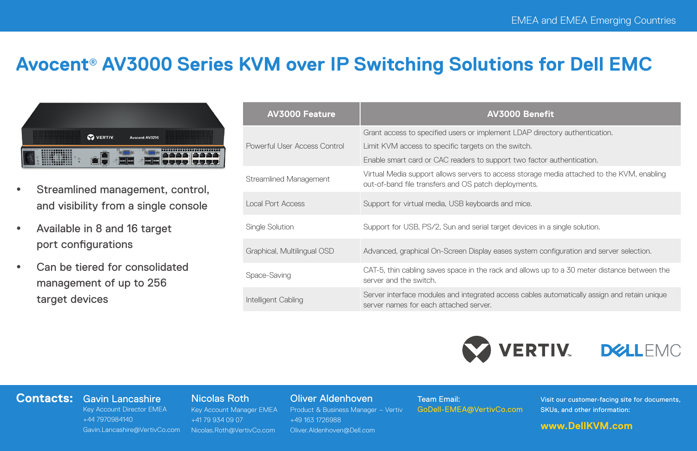# **Avocent**® **AV3000 Series KVM over IP Switching Solutions for Dell EMC**



- Streamlined management, control, and visibility from a single console
- Available in 8 and 16 target port configurations
- Can be tiered for consolidated management of up to 256 target devices

| <b>AV3000 Feature</b>        | AV3000 Benefit                                                                                                                                     |  |  |
|------------------------------|----------------------------------------------------------------------------------------------------------------------------------------------------|--|--|
|                              | Grant access to specified users or implement LDAP directory authentication.                                                                        |  |  |
| Powerful User Access Control | Limit KVM access to specific targets on the switch.                                                                                                |  |  |
|                              | Enable smart card or CAC readers to support two factor authentication.                                                                             |  |  |
| Streamlined Management       | Virtual Media support allows servers to access storage media attached to the KVM, enabling<br>out-of-band file transfers and OS patch deployments. |  |  |
| Local Port Access            | Support for virtual media, USB keyboards and mice.                                                                                                 |  |  |
| Single Solution              | Support for USB, PS/2, Sun and serial target devices in a single solution.                                                                         |  |  |
| Graphical, Multilingual OSD  | Advanced, graphical On-Screen Display eases system configuration and server selection.                                                             |  |  |
| Space-Saving                 | CAT-5, thin cabling saves space in the rack and allows up to a 30 meter distance between the<br>server and the switch.                             |  |  |
| Intelligent Cabling          | Server interface modules and integrated access cables automatically assign and retain unique<br>server names for each attached server.             |  |  |





#### **Contacts:** Gavin Lancashire

### Nicolas Roth

Key Account Director EMEA +44 7970984140 Gavin.Lancashire@VertivCo.com Key Account Manager EMEA +41 79 934 09 07 Nicolas.Roth@VertivCo.com

Oliver Aldenhoven

Product & Business Manager – Vertiv +49 163 1726988 Oliver.Aldenhoven@Dell.com

Team Email: GoDell-EMEA@VertivCo.com Visit our customer-facing site for documents, SKUs, and other information:

### **www.DellKVM.com**